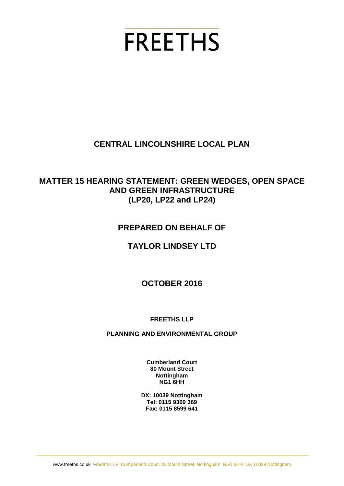# **FREETHS**

# **CENTRAL LINCOLNSHIRE LOCAL PLAN**

# **MATTER 15 HEARING STATEMENT: GREEN WEDGES, OPEN SPACE AND GREEN INFRASTRUCTURE (LP20, LP22 and LP24)**

# **PREPARED ON BEHALF OF**

# **TAYLOR LINDSEY LTD**

# **OCTOBER 2016**

## **FREETHS LLP**

#### **PLANNING AND ENVIRONMENTAL GROUP**

**Cumberland Court 80 Mount Street Nottingham NG1 6HH**

**DX: 10039 Nottingham Tel: 0115 9369 369 Fax: 0115 8599 641**

www.freeths.co.uk Freeths LLP, Cumberland Court, 80 Mount Street, Nottingham NG1 6HH DX 10039 Nottingham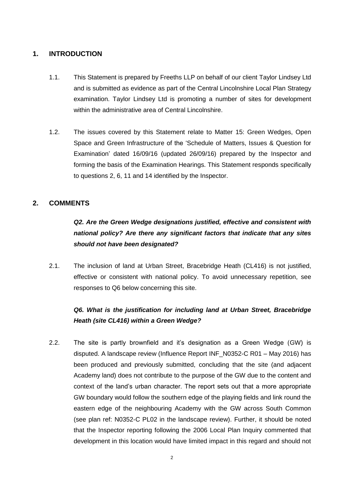#### **1. INTRODUCTION**

- 1.1. This Statement is prepared by Freeths LLP on behalf of our client Taylor Lindsey Ltd and is submitted as evidence as part of the Central Lincolnshire Local Plan Strategy examination. Taylor Lindsey Ltd is promoting a number of sites for development within the administrative area of Central Lincolnshire.
- 1.2. The issues covered by this Statement relate to Matter 15: Green Wedges, Open Space and Green Infrastructure of the 'Schedule of Matters, Issues & Question for Examination' dated 16/09/16 (updated 26/09/16) prepared by the Inspector and forming the basis of the Examination Hearings. This Statement responds specifically to questions 2, 6, 11 and 14 identified by the Inspector.

#### **2. COMMENTS**

# *Q2. Are the Green Wedge designations justified, effective and consistent with national policy? Are there any significant factors that indicate that any sites should not have been designated?*

2.1. The inclusion of land at Urban Street, Bracebridge Heath (CL416) is not justified, effective or consistent with national policy. To avoid unnecessary repetition, see responses to Q6 below concerning this site.

## *Q6. What is the justification for including land at Urban Street, Bracebridge Heath (site CL416) within a Green Wedge?*

2.2. The site is partly brownfield and it's designation as a Green Wedge (GW) is disputed. A landscape review (Influence Report INF\_N0352-C R01 – May 2016) has been produced and previously submitted, concluding that the site (and adjacent Academy land) does not contribute to the purpose of the GW due to the content and context of the land's urban character. The report sets out that a more appropriate GW boundary would follow the southern edge of the playing fields and link round the eastern edge of the neighbouring Academy with the GW across South Common (see plan ref: N0352-C PL02 in the landscape review). Further, it should be noted that the Inspector reporting following the 2006 Local Plan Inquiry commented that development in this location would have limited impact in this regard and should not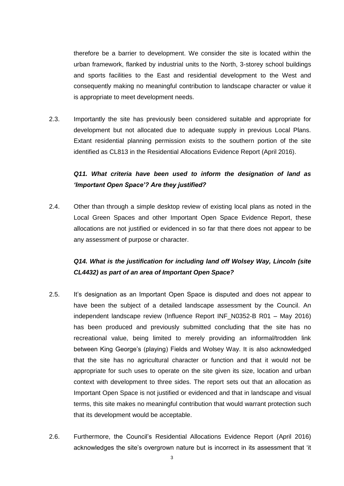therefore be a barrier to development. We consider the site is located within the urban framework, flanked by industrial units to the North, 3-storey school buildings and sports facilities to the East and residential development to the West and consequently making no meaningful contribution to landscape character or value it is appropriate to meet development needs.

2.3. Importantly the site has previously been considered suitable and appropriate for development but not allocated due to adequate supply in previous Local Plans. Extant residential planning permission exists to the southern portion of the site identified as CL813 in the Residential Allocations Evidence Report (April 2016).

## *Q11. What criteria have been used to inform the designation of land as 'Important Open Space'? Are they justified?*

2.4. Other than through a simple desktop review of existing local plans as noted in the Local Green Spaces and other Important Open Space Evidence Report, these allocations are not justified or evidenced in so far that there does not appear to be any assessment of purpose or character.

## *Q14. What is the justification for including land off Wolsey Way, Lincoln (site CL4432) as part of an area of Important Open Space?*

- 2.5. It's designation as an Important Open Space is disputed and does not appear to have been the subject of a detailed landscape assessment by the Council. An independent landscape review (Influence Report INF\_N0352-B R01 – May 2016) has been produced and previously submitted concluding that the site has no recreational value, being limited to merely providing an informal/trodden link between King George's (playing) Fields and Wolsey Way. It is also acknowledged that the site has no agricultural character or function and that it would not be appropriate for such uses to operate on the site given its size, location and urban context with development to three sides. The report sets out that an allocation as Important Open Space is not justified or evidenced and that in landscape and visual terms, this site makes no meaningful contribution that would warrant protection such that its development would be acceptable.
- 2.6. Furthermore, the Council's Residential Allocations Evidence Report (April 2016) acknowledges the site's overgrown nature but is incorrect in its assessment that 'it